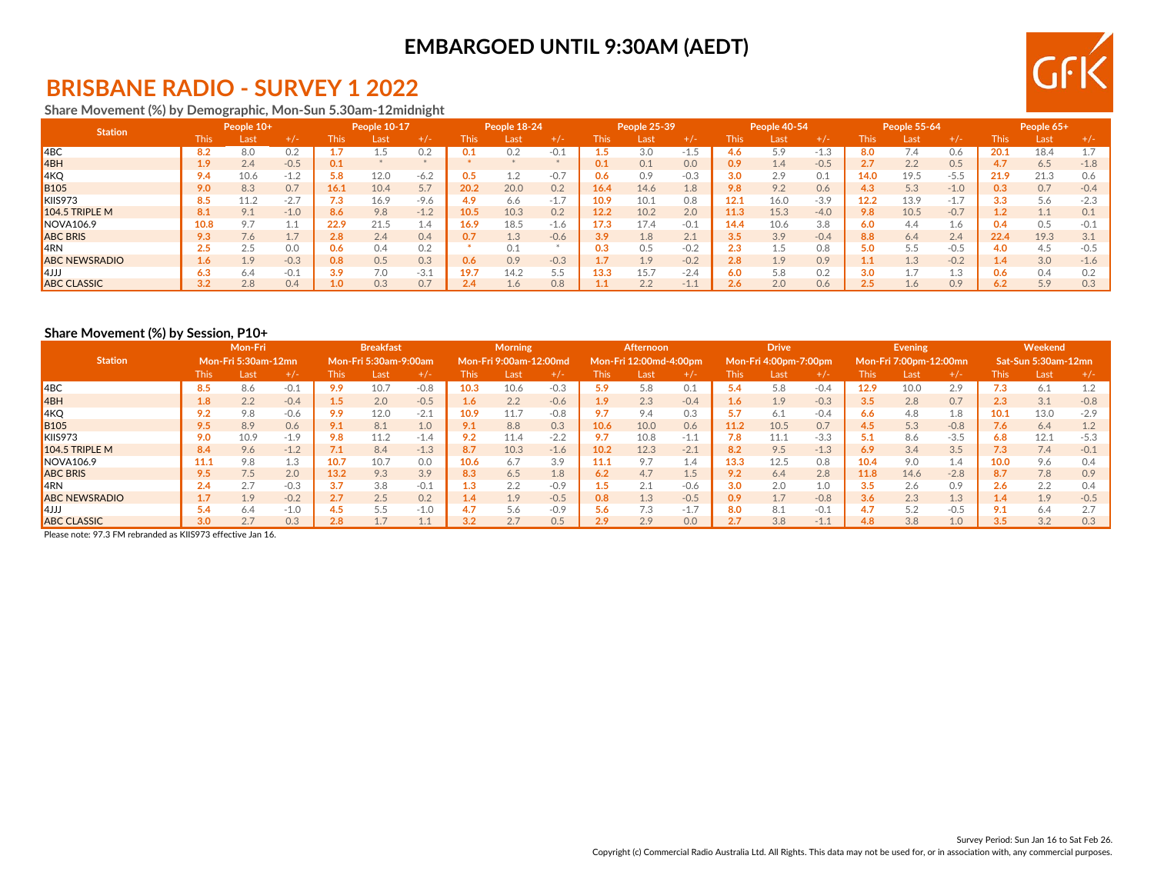# **EMBARGOED UNTIL 9:30AM (AEDT)**



# **BRISBANE RADIO - SURVEY 1 2022**

**Share Movement (%) by Demographic, Mon-Sun 5.30am-12midnight**

| <b>Station</b>       | People 10+  |      |        | People 10-17 |      | People 18-24 |             |      |        | People 25-39 |      | People 40-54 |             |      | <b>People 55-64</b> |             |      | People 65+ |      |      |        |
|----------------------|-------------|------|--------|--------------|------|--------------|-------------|------|--------|--------------|------|--------------|-------------|------|---------------------|-------------|------|------------|------|------|--------|
|                      | <b>This</b> | Last | $+/-$  | <b>This</b>  | _ast | $+1-$        | <b>This</b> | Last | $+/-$  | Thisl        | Last | $+/-$        | <b>This</b> | Last | $+/-$               | <b>This</b> | Last | +7-        | This | Last |        |
| $ $ 4BC              | 8.2         | 8.0  |        |              |      |              |             |      | $-0.1$ |              | 3.0  | -1.5         | 4.6         | 5.9  | $-1$                | 8.0         | 7.4  | 0.6        | 20.1 | 18.4 |        |
| 4BH                  | 1.9         | 2.4  | $-0.5$ | 0.1          |      |              |             |      |        | 0.1          | 0.1  | 0.0          | 0.9         | 1.4  | $-0.5$              | 2.7         | 2.2  | 0.5        |      | 6.5  | $-1.8$ |
| 4KQ                  | 9.4         | 10.6 | $-1.2$ | 5.8          | 12.0 | $-6.2$       | 0.5         | -2   | $-0.7$ | 0.6          | 0.9  | $-0.3$       | 3.0         | 2.9  | 0.1                 | 14.0        | 19.5 | $-5.5$     | 21.9 | 21.3 |        |
| <b>B105</b>          | 9.0         | 8.3  | 0.7    | 16.1         | 10.4 | 5.7          | 20.2        | 20.0 | 0.2    | 16.4         | 14.6 | 1.8          | 9.8         | 9.2  | 0.6                 | 4.3         | 5.3  | $-1.0$     |      | 0.7  | $-0.4$ |
| KIIS973              | 8.5         | 11.2 | $-2.7$ |              | 16.9 | $-9.6$       | 4.9         | 6.6  | $-1.7$ | 10.9         | 10.1 | 0.8          | 12.1        | 16.0 | $-3.9$              | 12.2        | 13.9 | $-1.7$     |      | 5.6  |        |
| 104.5 TRIPLE M       | 8.1         | 9.1  | $-1.0$ | 8.6          | 9.8  | $-1.2$       | 10.5        | 10.3 | 0.2    | 12.2         | 10.2 | 2.0          | 11.3        | 15.3 | $-4.0$              | 9.8         | 10.5 | $-0.7$     |      |      |        |
| NOVA106.9            | 10.8        | 9.7  |        | 22.9         | 21.5 | 1.4          | 16.9        | 18.5 | $-1.6$ | 17.3         | 17.4 | $-0.1$       | 14.4        | 10.6 | 3.8                 | 6.0         | 4.4  | 1.6        | 0.4  | 0.5  |        |
| <b>ABC BRIS</b>      | 9.3         | 7.6  |        | 2.8          | 2.4  | 0.4          |             | 1.3  | $-0.6$ | 3.9          | 1.8  | 2.1          | 3.5         | 3.9  | $-0.4$              | 8.8         | 6.4  | 2.4        | 22.4 | 19.3 |        |
| <b>4RN</b>           | 2.5         | 2.5  | 0.0    | 0.6          | 0.4  | 0.2          |             | 0.1  |        | 0.3          | 0.5  | $-0.2$       | 2.3         |      | 0.8                 | 5.0         |      | $-0.5$     |      | 4.5  |        |
| <b>ABC NEWSRADIO</b> | 1.6         | 1.9  | $-0.3$ | 0.8          | 0.5  | 0.3          | 0.6         | 0.9  | $-0.3$ |              | 1.9  | $-0.2$       | 2.8         | 1.9  | 0.9                 |             | 1.3  | $-0.2$     | 1.4  | 3.0  |        |
| <b>AJJJ</b>          | 6.3         | 6.4  | $-0.1$ | 3.9          | 7.0  | $-3.1$       | 19.7        | 14.2 | 5.5    | 13.3         | 15.7 | $-2.4$       | 6.0         | 5.8  | 0.2                 | 3.0         |      | 1.3        |      | 0.4  |        |
| <b>ABC CLASSIC</b>   | 3.2         | 2.8  | 0.4    |              | 0.3  | 0.7          | 2.4         | 4.6  | 0.8    |              | 2.2  | $-1.1$       | 2.6         | 2.0  | 0.6                 |             | 1.6  | 0.9        |      | 5.9  | 0.3    |

### **Share Movement (%) by Session, P10+**

|                      | Mon-Fri |                            |        | <b>Breakfast</b> |                       |        | <b>Morning</b> |                        |        | Afternoon |                        |        | <b>Drive</b> |                       |        | Evening     |                        |        | Weekend          |                            |        |
|----------------------|---------|----------------------------|--------|------------------|-----------------------|--------|----------------|------------------------|--------|-----------|------------------------|--------|--------------|-----------------------|--------|-------------|------------------------|--------|------------------|----------------------------|--------|
| <b>Station</b>       |         | <b>Mon-Fri 5:30am-12mn</b> |        |                  | Mon-Fri 5:30am-9:00am |        |                | Mon-Fri 9:00am-12:00md |        |           | Mon-Fri 12:00md-4:00pm |        |              | Mon-Fri 4:00pm-7:00pm |        |             | Mon-Fri 7:00pm-12:00mn |        |                  | <b>Sat-Sun 5:30am-12mn</b> |        |
|                      | This:   | Last                       | $+/-$  | <b>This</b>      | Last                  | $+1-$  | This           | Last                   | $+/-$  | This      | Last                   | $+/-$  | <b>This</b>  | Last                  | +7-    | <b>This</b> | Last                   | $+/-$  | l his            | Last                       |        |
| $ $ 4BC              | 8.5     | 8.6                        | $-0.1$ | 9.9              | 10.7                  | $-0.8$ | 10.3           | 10.6                   | $-0.3$ | 5.9       | 5.8                    | 0.1    | 5.4          | 5.8                   | $-0.4$ | 12.9        | 10.0                   | 2.9    | 7.3              | 6.1                        |        |
| 4BH                  | 1.8     | 2.2                        | $-0.4$ | 1.5              | 2.0                   | $-0.5$ | 1.6            | 2.2                    | $-0.6$ | 1.9       | 2.3                    | $-0.4$ | 1.6          | 1.9                   | $-0.3$ | 3.5         | 2.8                    | 0.7    | $2.3\phantom{0}$ | 3.1                        | $-0.8$ |
| 4KQ                  | 9.2     | 9.8                        | $-0.6$ | 9.9              | 12.0                  | $-2.1$ | 10.9           | 11.7                   | $-0.8$ |           | 9.4                    | 0.3    | 5.7          | 6.1                   | $-0.4$ | 6.6         | 4.8                    | 1.8    | 10.1             | 13.0                       | $-2.9$ |
| <b>B</b> 105         | 9.5     | 8.9                        | 0.6    | 9.1              | 8.1                   | 1.0    | 9.1            | 8.8                    | 0.3    | 10.6      | 10.0                   | 0.6    | 11.2         | 10.5                  | 0.7    | 4.5         | 5.3                    | $-0.8$ | 7.6              | 6.4                        |        |
| KIIS973              | 9.0     | 10.9                       | $-1.9$ | 9.8              | 11.2                  | $-1.4$ | 9.2            | 11.4                   | $-2.2$ |           | 10.8                   | $-1.1$ | 7.8          | 11.1                  | $-3.3$ | 5.1         | 8.6                    | $-3.5$ | 6.8              | 12.1                       | $-5.3$ |
| 104.5 TRIPLE M       | 8.4     | 9.6                        | $-1.2$ | 7.1              | 8.4                   | $-1.3$ | 8.7            | 10.3                   | $-1.6$ | 10.2      | 12.3                   | $-2.1$ | 8.2          | 9.5                   | $-1.3$ | 6.9         | 3.4                    | 3.5    | 7.3              | 7.4                        |        |
| <b>NOVA106.9</b>     | 11.1    | 9.8                        | 1.3    | 10.7             | 10.7                  | 0.0    | 10.6           | 6.7                    | 3.9    |           | 9.7                    | 1.4    | 13.3         | 12.5                  | 0.8    | 10.4        | 9.0                    | 1.4    | 10.0             | 9.6                        |        |
| <b>ABC BRIS</b>      | 9.5     | 7.5                        | 2.0    | 13.2             | 9.3                   | 3.9    | 8.3            | 6.5                    | 1.8    | 6.2       | 4.7                    | 1.5    | 9.2          | 6.4                   | 2.8    | 11.8        | 14.6                   | $-2.8$ |                  | 7.8                        | 0.9    |
| <b>IARN</b>          |         | 2.7                        | $-0.3$ | 3.7              | 3.8                   | $-0.1$ | 1.3            | 2.2                    | $-0.9$ |           | 2.1                    | $-0.6$ | 3.0          | 2.0                   |        | 3.5         | 2.6                    | 0.9    | 2.6              | 2.2                        |        |
| <b>ABC NEWSRADIO</b> |         | 1.9                        | $-0.2$ | 2.7              | 2.5                   | 0.2    | l.4            | 1.9                    | $-0.5$ | 0.8       | 1.3                    | $-0.5$ | 0.9          | 1.7                   | $-0.8$ | 3.6         | 2.3                    | 1.3    |                  | 1.9                        | $-0.5$ |
| l4JJJ                | 5.4     | 6.4                        | $-1.0$ | 4.5              | 5.5                   | $-1.0$ |                | 5.6                    | $-0.9$ | 5.6       | 7.3                    | $-1.7$ | 8.0          | 8.1                   | $-0.1$ | 4.7         | 5.2                    | $-0.5$ |                  | 6.4                        |        |
| <b>ABC CLASSIC</b>   | 3.0     | 2.7                        | 0.3    | 2.8              |                       |        |                |                        | 0.5    | 2.9       | 2.9                    | 0.0    | 2.7          | 3.8                   | $-1.$  | 4.8         | 3.8                    | 1.0    |                  | 3.2                        | 0.3    |

Please note: 97.3 FM rebranded as KIIS973 effective Jan 16.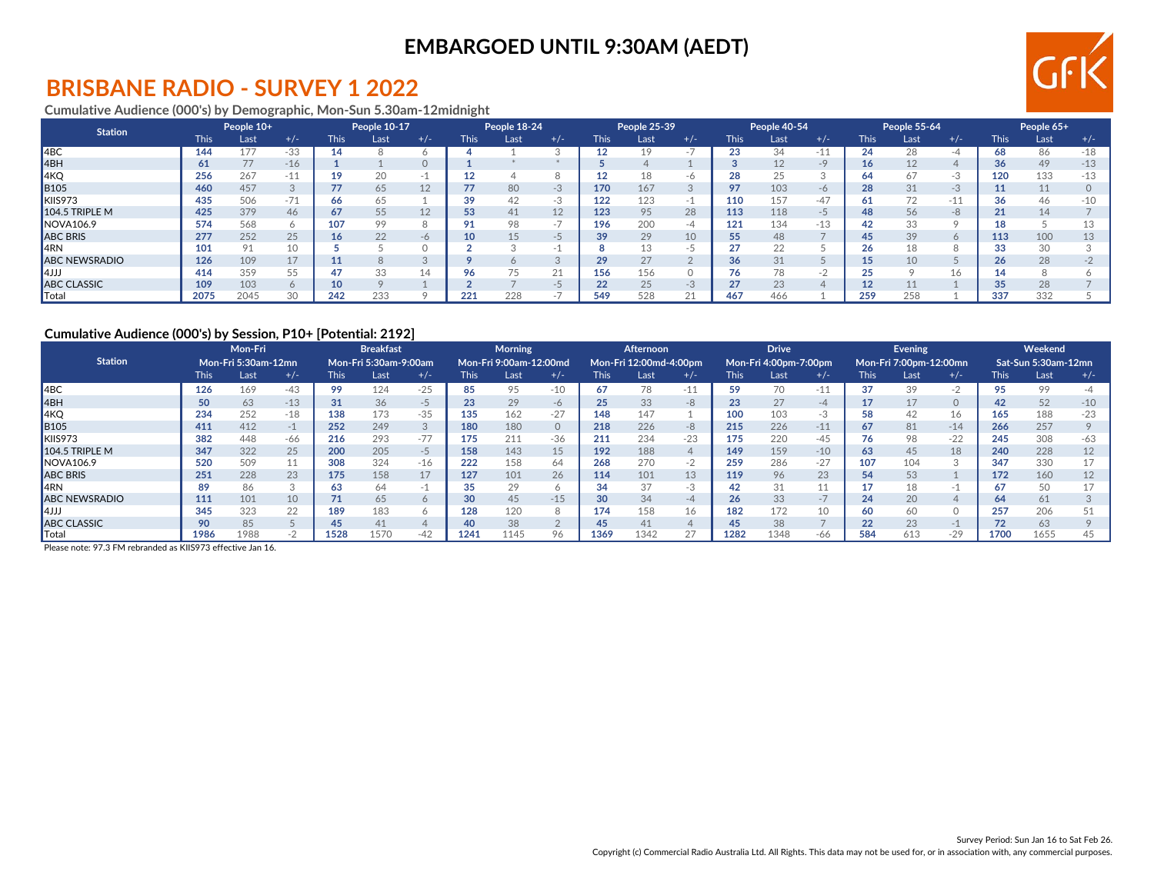# **EMBARGOED UNTIL 9:30AM (AEDT)**



### **BRISBANE RADIO - SURVEY 1 2022**

### **Cumulative Audience (000's) by Demographic, Mon-Sun 5.30am-12midnight**

| <b>Station</b>        | People 10+  |      | People 10-17 |             | People 18-24 |           |             | People 25-39 |           |             | People 40-54 |       |             | People 55-64 |       |             | People 65+ |       |             |         |       |
|-----------------------|-------------|------|--------------|-------------|--------------|-----------|-------------|--------------|-----------|-------------|--------------|-------|-------------|--------------|-------|-------------|------------|-------|-------------|---------|-------|
|                       | <b>This</b> | Last | $+/-$        | <b>This</b> | Last         | $+/-$     | <b>This</b> | Last         | $+/-$     | <b>This</b> | Last         | $+/-$ | <b>This</b> | Last         | $+/-$ | <b>This</b> | Last       | $+/-$ | <b>This</b> | Last    | $+/-$ |
| $ $ 4BC               | 144         | 177  | -33          | 14          |              |           |             |              |           |             | 19           |       | 23          | 34           | -11   | 24          | 28         |       | 68          | 86      | $-18$ |
| 4BH                   | 61          | 77   | $-16$        |             |              |           |             |              |           |             |              |       |             | 12           | $-9$  | 16.         | 12         |       | 36          | 49      | $-13$ |
| 4KQ                   | 256         | 267  | $-11$        | 19          | 20           |           | 12          |              |           |             | 18           | -6    | 28          | 25           |       | 64          | O/         | $-3$  | 120         | 133     | $-13$ |
| <b>B</b> 105          | 460         | 457  |              | 77          | 65           | 12        |             | 80           | $-3$      | 170         | 167          |       | 97          | 103          | $-6$  | 28          | 31         | $-3$  |             | 11      |       |
| KIIS973               | 435         | 506  | 74<br>$-11$  | 66          | 65           |           | 39          |              | -3        | 122         | 123          |       | 110         | 157          | $-47$ | -61         |            | $-11$ |             | 46      | $-10$ |
| <b>104.5 TRIPLE M</b> | 425         | 379  | 46           | 67          | 55           | 12        | 53          | 41           | 12        | 123         | 95           | 28    | 113         | 118          | $-5$  | 48          | 56         | $-8$  | 21          | 14      |       |
| NOVA106.9             | 574         | 568  |              | 107         | 99           |           |             |              | -<br>$-1$ | 196         | 200          | -4    | 121         | 134          | -13   | 42          | 33         |       |             |         |       |
| <b>ABC BRIS</b>       | 277         | 252  | 25           | 16          | 22           | $-\theta$ | 10          | 15           | -5        | 39          | 29           | 10    | 55          | 48           |       | 45          | 39         |       | 113         | 100     |       |
| <b>IARN</b>           | 101         | 91   | 10           |             |              |           |             |              |           |             | 13           | - -   | 27          | 22           |       |             |            |       | oo          | 30      |       |
| <b>ABC NEWSRADIO</b>  | 126         | 109  | 17           | 11          |              |           |             |              |           |             | 27           |       | 36          | 31           |       |             | 10         |       | 26          | 28      |       |
| l4JJJ                 | 414         | 359  |              | 47          | 33           |           | 96          |              | 21        | 156         | 156          |       | 76          | 78           | . п.  | つに          |            | 16    |             | $\circ$ |       |
| <b>ABC CLASSIC</b>    | 109         | 103  |              | 10          |              |           |             |              | -5        | 22          | 25           | -3    | 27          | 23           |       |             |            |       |             | 28      |       |
| ∥Total                | 2075        | 2045 | 30           | 242         | 233          |           | 221         | 228          |           | 549         | 528          |       | 467         | 466          |       | 259         | 258        |       | 337         | 332     |       |

#### **Cumulative Audience (000's) by Session, P10+ [Potential: 2192]**

|                       | Mon-Fri     |                            | <b>Breakfast</b> |             |                       | <b>Morning</b> |             |                        | Afternoon |             |                        | <b>Drive</b> |             |                       | Evening |             |                        | Weekend                  |             |                     |       |
|-----------------------|-------------|----------------------------|------------------|-------------|-----------------------|----------------|-------------|------------------------|-----------|-------------|------------------------|--------------|-------------|-----------------------|---------|-------------|------------------------|--------------------------|-------------|---------------------|-------|
| <b>Station</b>        |             | <b>Mon-Fri 5:30am-12mn</b> |                  |             | Mon-Fri 5:30am-9:00am |                |             | Mon-Fri 9:00am-12:00md |           |             | Mon-Fri 12:00md-4:00pm |              |             | Mon-Fri 4:00pm-7:00pm |         |             | Mon-Fri 7:00pm-12:00mn |                          |             | Sat-Sun 5:30am-12mn |       |
|                       | <b>This</b> | Last                       | $+/-$            | <b>This</b> | Last                  | $+/-$          | <b>This</b> | Last                   | $+/-$     | <b>This</b> | Last                   | $+/-$        | <b>This</b> | Last                  | $+/-$   | <b>This</b> | Last                   | $+/-$                    | <b>This</b> | Last                | +/-   |
| 14 <sub>BC</sub>      | 126         | 169                        | $-43$            | 99          | 124                   | $-25$          | 85          | 95                     | $-10$     | 67          | 78                     | $-11$        | 59          | 70                    | $-11$   | 37          | 39                     | $-2$                     | 95          | 99                  |       |
| 4BH                   | 50          | 63                         | $-13$            | 31          | 36                    | -5             | 23          | 29                     | -6        | 25          | 33                     | $-8$         | 23          | 27                    | $-4$    |             |                        | $\circ$                  | 42          | 52                  | $-10$ |
| 4KQ                   | 234         | 252                        | $-18$            | 138         | 173                   | $-35$          | 135         | 162                    | $-27$     | 148         | 147                    |              | 100         | 103                   | -3      | 58          | 42                     | 16                       | 165         | 188                 |       |
| <b>B</b> 105          | 411         | 412                        | -1               | 252         | 249                   |                | 180         | 180                    | $\circ$   | 218         | 226                    | $-8$         | 215         | 226                   | $-11$   | 67          | 81                     | $-14$                    | 266         | 257                 |       |
| KIIS973               | 382         | 448                        | -66              | 216         | 293                   | $-77$          | 175         | 211                    | $-36$     | 211         | 234                    | $-23$        | 175         | 220                   | -45     | 76          | 98                     | $-22$                    | 245         | 308                 |       |
| <b>104.5 TRIPLE M</b> | 347         | 322                        | 25               | 200         | 205                   | -5             | 158         | 143                    | 15        | 192         | 188                    |              | 149         | 159                   | $-10$   | 63          | 45                     | 18                       | 240         | 228                 |       |
| NOVA106.9             | 520         | 509                        |                  | 308         | 324                   | -16            | 222         | 158                    | 64        | 268         | 270                    | $-2$         | 259         | 286                   | $-27$   | 107         | 104                    |                          | 347         | 330                 |       |
| <b>ABC BRIS</b>       | 251         | 228                        | 23               | 175         | 158                   | 17             | 127         | 101                    | 26        | 114         | 101                    | 13           | 119         | 96                    | 23      | 54          | 53                     |                          | 172         | 160                 |       |
| <b>I</b> 4RN          | 89          | 86                         |                  | 63          | 64                    | - 1            | 35          |                        | $\circ$   | 34          | 37                     | -3           | 42          | 31                    | ш       |             |                        | $\overline{\phantom{a}}$ |             | 50                  |       |
| <b>ABC NEWSRADIO</b>  | 111         | 101                        | 10               | 71          | 65                    |                | 30          | 45                     | $-15$     | 30          | 34                     | $-4$         | 26          | 33                    | $-1$    | 24          | 20                     |                          | 64          | 61                  |       |
| l4JJJ                 | 345         | 323                        | 22               | 189         | 183                   |                | 128         | 120                    | 8         | 174         | 158                    | 16           | 182         | 172                   | 10      | 60          | 60                     |                          | 257         | 206                 |       |
| <b>ABC CLASSIC</b>    | 90          | 85                         |                  | 45          | 41                    |                | 40          | 38                     | $\cap$    | 45          | 41                     |              | 45          | 38                    |         | 22          | 23                     | $-1$                     |             | 63                  |       |
| Total                 | 1986        | 1988                       |                  | 1528        | 1570                  | $-42$          | 1241        | 1145                   | 96        | 1369        | 1342                   | 27           | 1282        | 1348                  | -66     | 584         | 613                    | $-29$                    | 1700        | 1655                |       |

Please note: 97.3 FM rebranded as KIIS973 effective Jan 16.